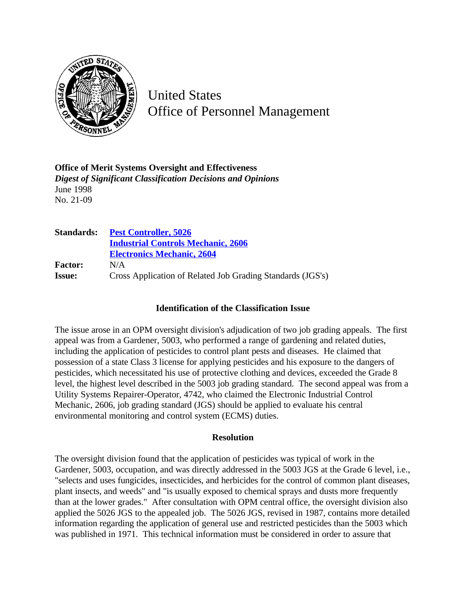

United States Office of Personnel Management

**Office of Merit Systems Oversight and Effectiveness** *Digest of Significant Classification Decisions and Opinions* June 1998 No. 21-09

| <b>Standards:</b> | <b>Pest Controller, 5026</b>                               |
|-------------------|------------------------------------------------------------|
|                   | <b>Industrial Controls Mechanic, 2606</b>                  |
|                   | <b>Electronics Mechanic, 2604</b>                          |
| <b>Factor:</b>    | N/A                                                        |
| <b>Issue:</b>     | Cross Application of Related Job Grading Standards (JGS's) |

## **Identification of the Classification Issue**

The issue arose in an OPM oversight division's adjudication of two job grading appeals. The first appeal was from a Gardener, 5003, who performed a range of gardening and related duties, including the application of pesticides to control plant pests and diseases. He claimed that possession of a state Class 3 license for applying pesticides and his exposure to the dangers of pesticides, which necessitated his use of protective clothing and devices, exceeded the Grade 8 level, the highest level described in the 5003 job grading standard. The second appeal was from a Utility Systems Repairer-Operator, 4742, who claimed the Electronic Industrial Control Mechanic, 2606, job grading standard (JGS) should be applied to evaluate his central environmental monitoring and control system (ECMS) duties.

## **Resolution**

The oversight division found that the application of pesticides was typical of work in the Gardener, 5003, occupation, and was directly addressed in the 5003 JGS at the Grade 6 level, i.e., "selects and uses fungicides, insecticides, and herbicides for the control of common plant diseases, plant insects, and weeds" and "is usually exposed to chemical sprays and dusts more frequently than at the lower grades." After consultation with OPM central office, the oversight division also applied the 5026 JGS to the appealed job. The 5026 JGS, revised in 1987, contains more detailed information regarding the application of general use and restricted pesticides than the 5003 which was published in 1971. This technical information must be considered in order to assure that